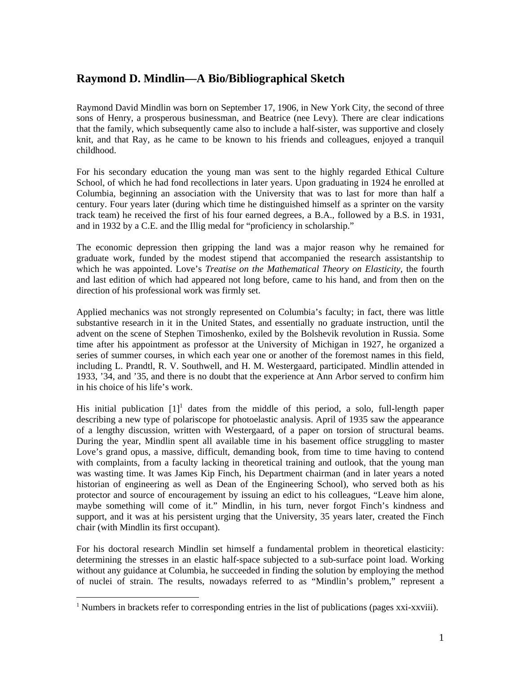## **Raymond D. Mindlin—A Bio/Bibliographical Sketch**

Raymond David Mindlin was born on September 17, 1906, in New York City, the second of three sons of Henry, a prosperous businessman, and Beatrice (nee Levy). There are clear indications that the family, which subsequently came also to include a half-sister, was supportive and closely knit, and that Ray, as he came to be known to his friends and colleagues, enjoyed a tranquil childhood.

For his secondary education the young man was sent to the highly regarded Ethical Culture School, of which he had fond recollections in later years. Upon graduating in 1924 he enrolled at Columbia, beginning an association with the University that was to last for more than half a century. Four years later (during which time he distinguished himself as a sprinter on the varsity track team) he received the first of his four earned degrees, a B.A., followed by a B.S. in 1931, and in 1932 by a C.E. and the Illig medal for "proficiency in scholarship."

The economic depression then gripping the land was a major reason why he remained for graduate work, funded by the modest stipend that accompanied the research assistantship to which he was appointed. Love's *Treatise on the Mathematical Theory on Elasticity*, the fourth and last edition of which had appeared not long before, came to his hand, and from then on the direction of his professional work was firmly set.

Applied mechanics was not strongly represented on Columbia's faculty; in fact, there was little substantive research in it in the United States, and essentially no graduate instruction, until the advent on the scene of Stephen Timoshenko, exiled by the Bolshevik revolution in Russia. Some time after his appointment as professor at the University of Michigan in 1927, he organized a series of summer courses, in which each year one or another of the foremost names in this field, including L. Prandtl, R. V. Southwell, and H. M. Westergaard, participated. Mindlin attended in 1933, '34, and '35, and there is no doubt that the experience at Ann Arbor served to confirm him in his choice of his life's work.

His initial publication  $[1]$ <sup>1</sup> dates from the middle of this period, a solo, full-length paper describing a new type of polariscope for photoelastic analysis. April of 1935 saw the appearance of a lengthy discussion, written with Westergaard, of a paper on torsion of structural beams. During the year, Mindlin spent all available time in his basement office struggling to master Love's grand opus, a massive, difficult, demanding book, from time to time having to contend with complaints, from a faculty lacking in theoretical training and outlook, that the young man was wasting time. It was James Kip Finch, his Department chairman (and in later years a noted historian of engineering as well as Dean of the Engineering School), who served both as his protector and source of encouragement by issuing an edict to his colleagues, "Leave him alone, maybe something will come of it." Mindlin, in his turn, never forgot Finch's kindness and support, and it was at his persistent urging that the University, 35 years later, created the Finch chair (with Mindlin its first occupant).

For his doctoral research Mindlin set himself a fundamental problem in theoretical elasticity: determining the stresses in an elastic half-space subjected to a sub-surface point load. Working without any guidance at Columbia, he succeeded in finding the solution by employing the method of nuclei of strain. The results, nowadays referred to as "Mindlin's problem," represent a

 $\overline{a}$ 

<sup>&</sup>lt;sup>1</sup> Numbers in brackets refer to corresponding entries in the list of publications (pages xxi-xxviii).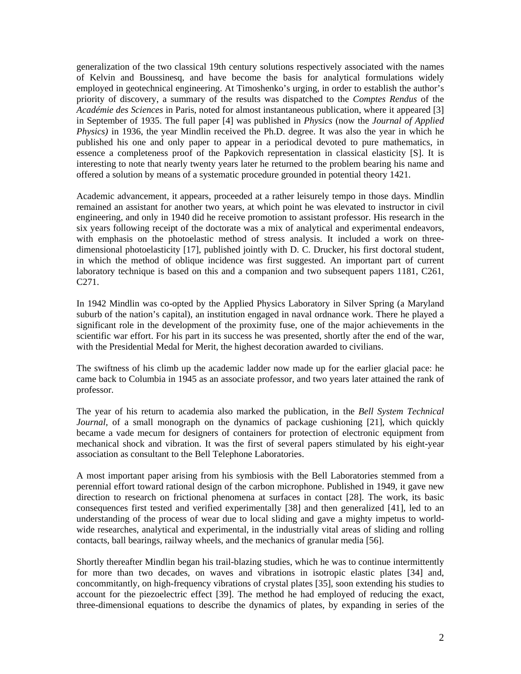generalization of the two classical 19th century solutions respectively associated with the names of Kelvin and Boussinesq, and have become the basis for analytical formulations widely employed in geotechnical engineering. At Timoshenko's urging, in order to establish the author's priority of discovery, a summary of the results was dispatched to the *Comptes Rendus* of the *Académie des Sciences* in Paris, noted for almost instantaneous publication, where it appeared [3] in September of 1935. The full paper [4] was published in *Physics* (now the *Journal of Applied Physics)* in 1936, the year Mindlin received the Ph.D. degree. It was also the year in which he published his one and only paper to appear in a periodical devoted to pure mathematics, in essence a completeness proof of the Papkovich representation in classical elasticity [S]. It is interesting to note that nearly twenty years later he returned to the problem bearing his name and offered a solution by means of a systematic procedure grounded in potential theory 1421.

Academic advancement, it appears, proceeded at a rather leisurely tempo in those days. Mindlin remained an assistant for another two years, at which point he was elevated to instructor in civil engineering, and only in 1940 did he receive promotion to assistant professor. His research in the six years following receipt of the doctorate was a mix of analytical and experimental endeavors, with emphasis on the photoelastic method of stress analysis. It included a work on threedimensional photoelasticity [17], published jointly with D. C. Drucker, his first doctoral student, in which the method of oblique incidence was first suggested. An important part of current laboratory technique is based on this and a companion and two subsequent papers 1181, C261, C271.

In 1942 Mindlin was co-opted by the Applied Physics Laboratory in Silver Spring (a Maryland suburb of the nation's capital), an institution engaged in naval ordnance work. There he played a significant role in the development of the proximity fuse, one of the major achievements in the scientific war effort. For his part in its success he was presented, shortly after the end of the war, with the Presidential Medal for Merit, the highest decoration awarded to civilians.

The swiftness of his climb up the academic ladder now made up for the earlier glacial pace: he came back to Columbia in 1945 as an associate professor, and two years later attained the rank of professor.

The year of his return to academia also marked the publication, in the *Bell System Technical Journal*, of a small monograph on the dynamics of package cushioning [21], which quickly became a vade mecum for designers of containers for protection of electronic equipment from mechanical shock and vibration. It was the first of several papers stimulated by his eight-year association as consultant to the Bell Telephone Laboratories.

A most important paper arising from his symbiosis with the Bell Laboratories stemmed from a perennial effort toward rational design of the carbon microphone. Published in 1949, it gave new direction to research on frictional phenomena at surfaces in contact [28]. The work, its basic consequences first tested and verified experimentally [38] and then generalized [41], led to an understanding of the process of wear due to local sliding and gave a mighty impetus to worldwide researches, analytical and experimental, in the industrially vital areas of sliding and rolling contacts, ball bearings, railway wheels, and the mechanics of granular media [56].

Shortly thereafter Mindlin began his trail-blazing studies, which he was to continue intermittently for more than two decades, on waves and vibrations in isotropic elastic plates [34] and, concommitantly, on high-frequency vibrations of crystal plates [35], soon extending his studies to account for the piezoelectric effect [39]. The method he had employed of reducing the exact, three-dimensional equations to describe the dynamics of plates, by expanding in series of the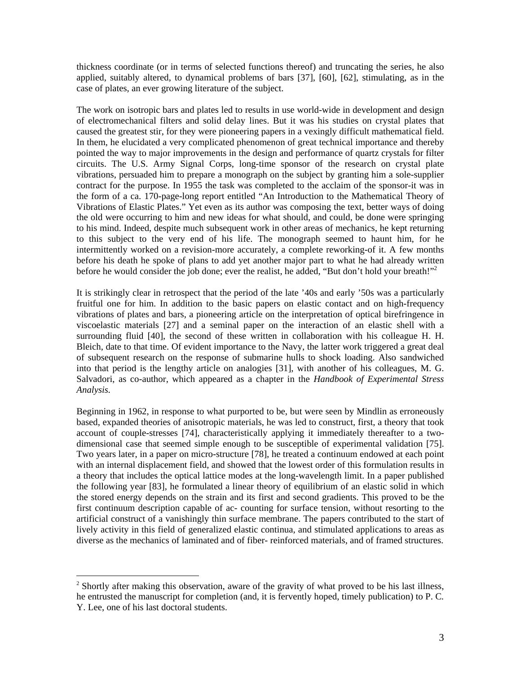thickness coordinate (or in terms of selected functions thereof) and truncating the series, he also applied, suitably altered, to dynamical problems of bars [37], [60], [62], stimulating, as in the case of plates, an ever growing literature of the subject.

The work on isotropic bars and plates led to results in use world-wide in development and design of electromechanical filters and solid delay lines. But it was his studies on crystal plates that caused the greatest stir, for they were pioneering papers in a vexingly difficult mathematical field. In them, he elucidated a very complicated phenomenon of great technical importance and thereby pointed the way to major improvements in the design and performance of quartz crystals for filter circuits. The U.S. Army Signal Corps, long-time sponsor of the research on crystal plate vibrations, persuaded him to prepare a monograph on the subject by granting him a sole-supplier contract for the purpose. In 1955 the task was completed to the acclaim of the sponsor-it was in the form of a ca. 170-page-long report entitled "An Introduction to the Mathematical Theory of Vibrations of Elastic Plates." Yet even as its author was composing the text, better ways of doing the old were occurring to him and new ideas for what should, and could, be done were springing to his mind. Indeed, despite much subsequent work in other areas of mechanics, he kept returning to this subject to the very end of his life. The monograph seemed to haunt him, for he intermittently worked on a revision-more accurately, a complete reworking-of it. A few months before his death he spoke of plans to add yet another major part to what he had already written before he would consider the job done; ever the realist, he added, "But don't hold your breath!"

It is strikingly clear in retrospect that the period of the late '40s and early '50s was a particularly fruitful one for him. In addition to the basic papers on elastic contact and on high-frequency vibrations of plates and bars, a pioneering article on the interpretation of optical birefringence in viscoelastic materials [27] and a seminal paper on the interaction of an elastic shell with a surrounding fluid [40], the second of these written in collaboration with his colleague H. H. Bleich, date to that time. Of evident importance to the Navy, the latter work triggered a great deal of subsequent research on the response of submarine hulls to shock loading. Also sandwiched into that period is the lengthy article on analogies [31], with another of his colleagues, M. G. Salvadori, as co-author, which appeared as a chapter in the *Handbook of Experimental Stress Analysis.* 

Beginning in 1962, in response to what purported to be, but were seen by Mindlin as erroneously based, expanded theories of anisotropic materials, he was led to construct, first, a theory that took account of couple-stresses [74], characteristically applying it immediately thereafter to a twodimensional case that seemed simple enough to be susceptible of experimental validation [75]. Two years later, in a paper on micro-structure [78], he treated a continuum endowed at each point with an internal displacement field, and showed that the lowest order of this formulation results in a theory that includes the optical lattice modes at the long-wavelength limit. In a paper published the following year [83], he formulated a linear theory of equilibrium of an elastic solid in which the stored energy depends on the strain and its first and second gradients. This proved to be the first continuum description capable of ac- counting for surface tension, without resorting to the artificial construct of a vanishingly thin surface membrane. The papers contributed to the start of lively activity in this field of generalized elastic continua, and stimulated applications to areas as diverse as the mechanics of laminated and of fiber- reinforced materials, and of framed structures.

 $\overline{a}$ 

<sup>&</sup>lt;sup>2</sup> Shortly after making this observation, aware of the gravity of what proved to be his last illness, he entrusted the manuscript for completion (and, it is fervently hoped, timely publication) to P. C*.*  Y. Lee, one of his last doctoral students.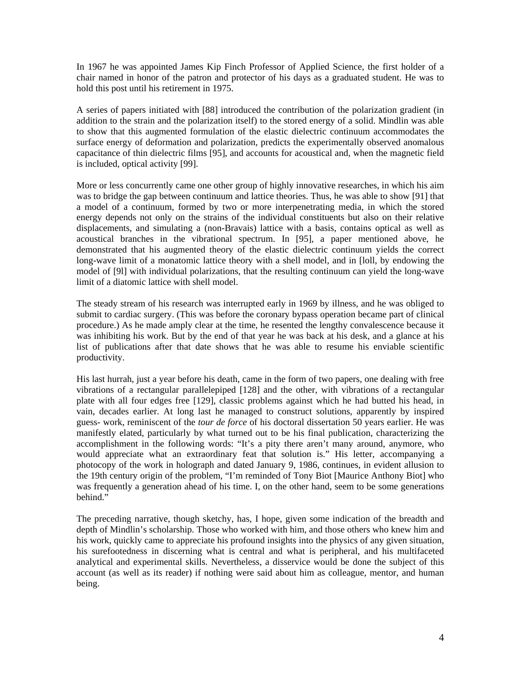In 1967 he was appointed James Kip Finch Professor of Applied Science, the first holder of a chair named in honor of the patron and protector of his days as a graduated student. He was to hold this post until his retirement in 1975.

A series of papers initiated with [88] introduced the contribution of the polarization gradient (in addition to the strain and the polarization itself) to the stored energy of a solid. Mindlin was able to show that this augmented formulation of the elastic dielectric continuum accommodates the surface energy of deformation and polarization, predicts the experimentally observed anomalous capacitance of thin dielectric films [95], and accounts for acoustical and, when the magnetic field is included, optical activity [99].

More or less concurrently came one other group of highly innovative researches, in which his aim was to bridge the gap between continuum and lattice theories. Thus, he was able to show [91] that a model of a continuum, formed by two or more interpenetrating media, in which the stored energy depends not only on the strains of the individual constituents but also on their relative displacements, and simulating a (non-Bravais) lattice with a basis, contains optical as well as acoustical branches in the vibrational spectrum. In [95], a paper mentioned above, he demonstrated that his augmented theory of the elastic dielectric continuum yields the correct long-wave limit of a monatomic lattice theory with a shell model, and in [loll, by endowing the model of [9l] with individual polarizations, that the resulting continuum can yield the long-wave limit of a diatomic lattice with shell model.

The steady stream of his research was interrupted early in 1969 by illness, and he was obliged to submit to cardiac surgery. (This was before the coronary bypass operation became part of clinical procedure.) As he made amply clear at the time, he resented the lengthy convalescence because it was inhibiting his work. But by the end of that year he was back at his desk, and a glance at his list of publications after that date shows that he was able to resume his enviable scientific productivity.

His last hurrah, just a year before his death, came in the form of two papers, one dealing with free vibrations of a rectangular parallelepiped [128] and the other, with vibrations of a rectangular plate with all four edges free [129], classic problems against which he had butted his head, in vain, decades earlier. At long last he managed to construct solutions, apparently by inspired guess- work, reminiscent of the *tour de force* of his doctoral dissertation 50 years earlier. He was manifestly elated, particularly by what turned out to be his final publication, characterizing the accomplishment in the following words: "It's a pity there aren't many around, anymore, who would appreciate what an extraordinary feat that solution is." His letter, accompanying a photocopy of the work in holograph and dated January 9, 1986, continues, in evident allusion to the 19th century origin of the problem, "I'm reminded of Tony Biot [Maurice Anthony Biot] who was frequently a generation ahead of his time. I, on the other hand, seem to be some generations behind."

The preceding narrative, though sketchy, has, I hope, given some indication of the breadth and depth of Mindlin's scholarship. Those who worked with him, and those others who knew him and his work, quickly came to appreciate his profound insights into the physics of any given situation, his surefootedness in discerning what is central and what is peripheral, and his multifaceted analytical and experimental skills. Nevertheless, a disservice would be done the subject of this account (as well as its reader) if nothing were said about him as colleague, mentor, and human being.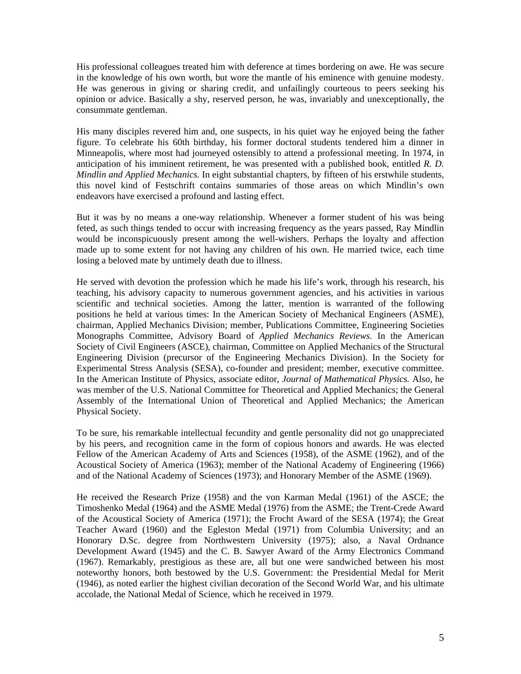His professional colleagues treated him with deference at times bordering on awe. He was secure in the knowledge of his own worth, but wore the mantle of his eminence with genuine modesty. He was generous in giving or sharing credit, and unfailingly courteous to peers seeking his opinion or advice. Basically a shy, reserved person, he was, invariably and unexceptionally, the consummate gentleman.

His many disciples revered him and, one suspects, in his quiet way he enjoyed being the father figure. To celebrate his 60th birthday, his former doctoral students tendered him a dinner in Minneapolis, where most had journeyed ostensibly to attend a professional meeting. In 1974, in anticipation of his imminent retirement, he was presented with a published book, entitled *R. D. Mindlin and Applied Mechanics.* In eight substantial chapters, by fifteen of his erstwhile students, this novel kind of Festschrift contains summaries of those areas on which Mindlin's own endeavors have exercised a profound and lasting effect.

But it was by no means a one-way relationship. Whenever a former student of his was being feted, as such things tended to occur with increasing frequency as the years passed, Ray Mindlin would be inconspicuously present among the well-wishers. Perhaps the loyalty and affection made up to some extent for not having any children of his own. He married twice, each time losing a beloved mate by untimely death due to illness.

He served with devotion the profession which he made his life's work, through his research, his teaching, his advisory capacity to numerous government agencies, and his activities in various scientific and technical societies. Among the latter, mention is warranted of the following positions he held at various times: In the American Society of Mechanical Engineers (ASME), chairman, Applied Mechanics Division; member, Publications Committee, Engineering Societies Monographs Committee, Advisory Board of *Applied Mechanics Reviews.* In the American Society of Civil Engineers (ASCE), chairman, Committee on Applied Mechanics of the Structural Engineering Division (precursor of the Engineering Mechanics Division). In the Society for Experimental Stress Analysis (SESA), co-founder and president; member, executive committee. In the American Institute of Physics, associate editor, *Journal of Mathematical Physics.* Also, he was member of the U.S. National Committee for Theoretical and Applied Mechanics; the General Assembly of the International Union of Theoretical and Applied Mechanics; the American Physical Society.

To be sure, his remarkable intellectual fecundity and gentle personality did not go unappreciated by his peers, and recognition came in the form of copious honors and awards. He was elected Fellow of the American Academy of Arts and Sciences (1958), of the ASME (1962), and of the Acoustical Society of America (1963); member of the National Academy of Engineering (1966) and of the National Academy of Sciences (1973); and Honorary Member of the ASME (1969).

He received the Research Prize (1958) and the von Karman Medal (1961) of the ASCE; the Timoshenko Medal (1964) and the ASME Medal (1976) from the ASME; the Trent-Crede Award of the Acoustical Society of America (1971); the Frocht Award of the SESA (1974); the Great Teacher Award (1960) and the Egleston Medal (1971) from Columbia University; and an Honorary D.Sc. degree from Northwestern University (1975); also, a Naval Ordnance Development Award (1945) and the C. B. Sawyer Award of the Army Electronics Command (1967). Remarkably, prestigious as these are, all but one were sandwiched between his most noteworthy honors, both bestowed by the U.S. Government: the Presidential Medal for Merit (1946), as noted earlier the highest civilian decoration of the Second World War, and his ultimate accolade, the National Medal of Science, which he received in 1979.